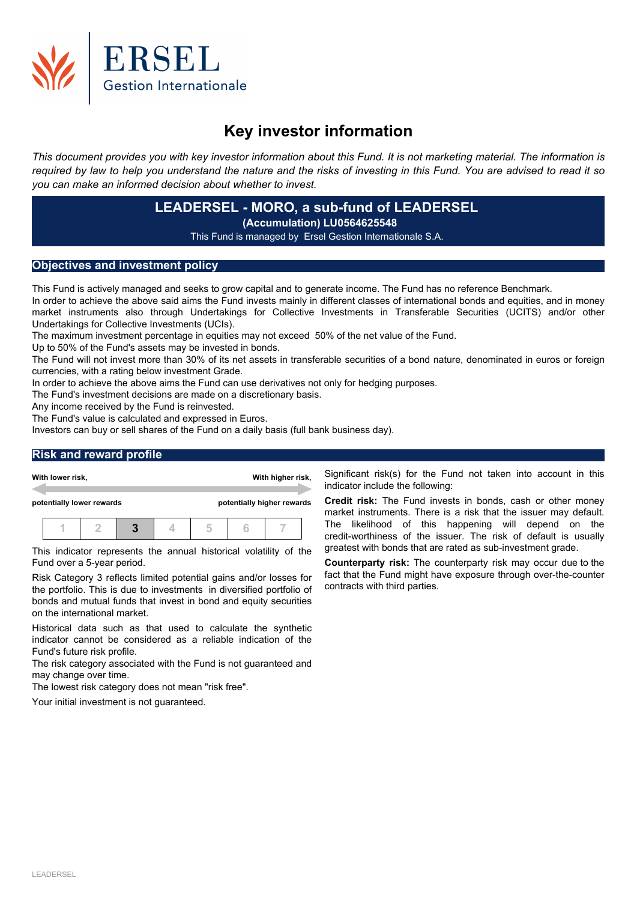

# **Key investor information**

This document provides you with key investor information about this Fund. It is not marketing material. The information is required by law to help you understand the nature and the risks of investing in this Fund. You are advised to read it so *you can make an informed decision about whether to invest.*

> **LEADERSEL - MORO, a sub-fund of LEADERSEL (Accumulation) LU0564625548**

This Fund is managed by Ersel Gestion Internationale S.A.

# **Objectives and investment policy**

This Fund is actively managed and seeks to grow capital and to generate income. The Fund has no reference Benchmark. In order to achieve the above said aims the Fund invests mainly in different classes of international bonds and equities, and in money market instruments also through Undertakings for Collective Investments in Transferable Securities (UCITS) and/or other Undertakings for Collective Investments (UCIs).

The maximum investment percentage in equities may not exceed 50% of the net value of the Fund.

Up to 50% of the Fund's assets may be invested in bonds.

The Fund will not invest more than 30% of its net assets in transferable securities of a bond nature, denominated in euros or foreign currencies, with a rating below investment Grade.

In order to achieve the above aims the Fund can use derivatives not only for hedging purposes.

The Fund's investment decisions are made on a discretionary basis.

Any income received by the Fund is reinvested.

The Fund's value is calculated and expressed in Euros.

Investors can buy or sell shares of the Fund on a daily basis (full bank business day).

## **Risk and reward profile**

|                           | With lower risk, |  |  | With higher risk,          |  |  |  |  |
|---------------------------|------------------|--|--|----------------------------|--|--|--|--|
| potentially lower rewards |                  |  |  | potentially higher rewards |  |  |  |  |
|                           |                  |  |  |                            |  |  |  |  |

This indicator represents the annual historical volatility of the Fund over a 5-year period.

Risk Category 3 reflects limited potential gains and/or losses for the portfolio. This is due to investments in diversified portfolio of bonds and mutual funds that invest in bond and equity securities on the international market.

Historical data such as that used to calculate the synthetic indicator cannot be considered as a reliable indication of the Fund's future risk profile.

The risk category associated with the Fund is not guaranteed and may change over time.

The lowest risk category does not mean "risk free".

Your initial investment is not guaranteed.

Significant risk(s) for the Fund not taken into account in this indicator include the following:

**Credit risk:** The Fund invests in bonds, cash or other money market instruments. There is a risk that the issuer may default. The likelihood of this happening will depend on the credit-worthiness of the issuer. The risk of default is usually greatest with bonds that are rated as sub-investment grade.

**Counterparty risk:** The counterparty risk may occur due to the fact that the Fund might have exposure through over-the-counter contracts with third parties.